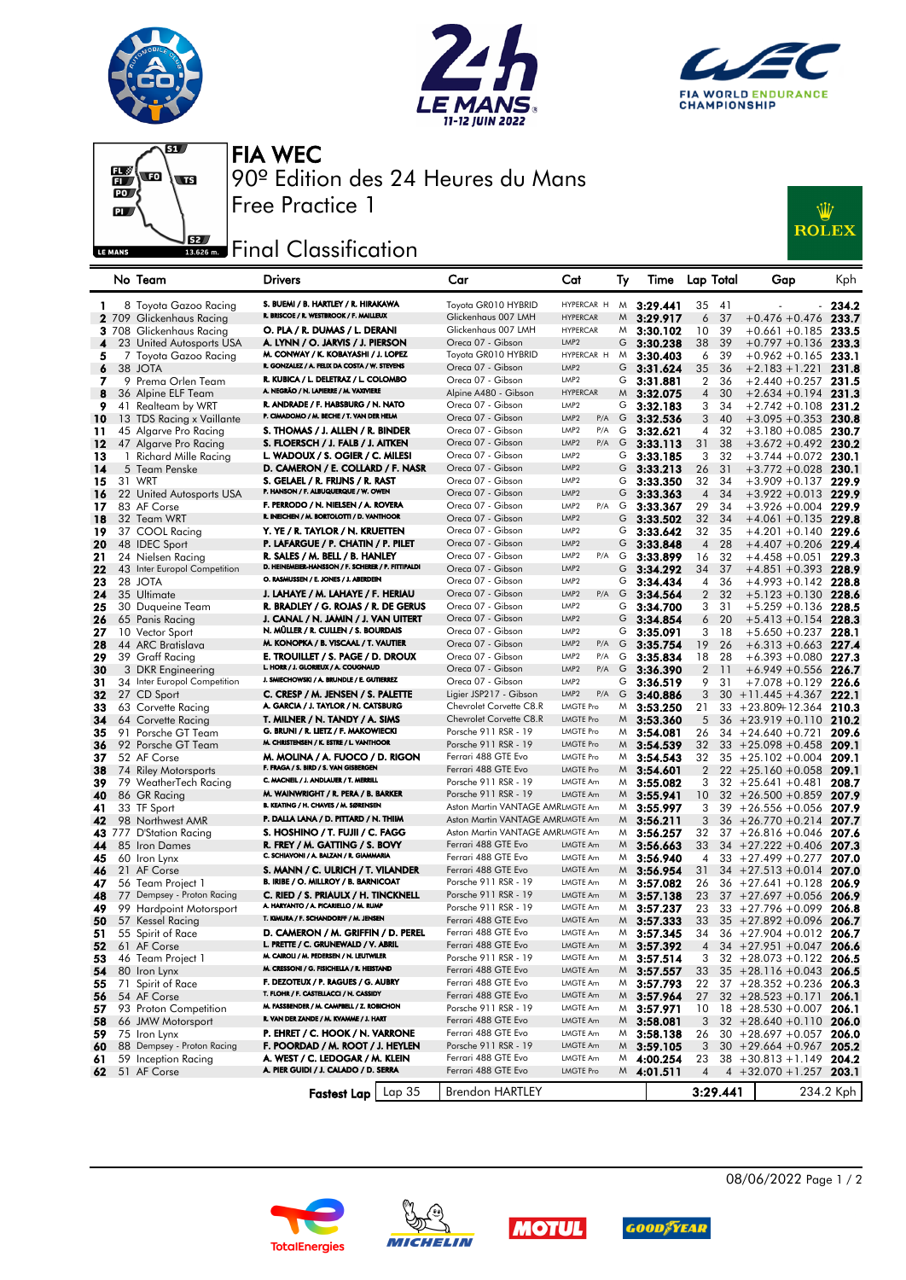







FIA WEC 90º Edition des 24 Heures du Mans

## **J**sz Final Classification

Free Practice 1

| wiiz         |
|--------------|
| <b>ROLEX</b> |

|          |    | No Team                               | <b>Drivers</b>                                                               | Car                                          | Cat                     | Тy | Time                           | Lap Total      |          | Gap                                                        | Kph            |
|----------|----|---------------------------------------|------------------------------------------------------------------------------|----------------------------------------------|-------------------------|----|--------------------------------|----------------|----------|------------------------------------------------------------|----------------|
| 1        |    | 8 Toyota Gazoo Racing                 | S. BUEMI / B. HARTLEY / R. HIRAKAWA                                          | Toyota GR010 HYBRID                          | HYPERCAR H              |    | $M$ 3:29.441                   | 35             | 41       |                                                            | 234.2          |
|          |    | 2 709 Glickenhaus Racing              | R. BRISCOE / R. WESTBROOK / F. MAILLEUX                                      | Glickenhaus 007 LMH                          | <b>HYPERCAR</b>         | M  | 3:29.917                       | 6              | 37       | $+0.476 + 0.476$                                           | 233.7          |
|          |    | 3 708 Glickenhaus Racing              | O. PLA / R. DUMAS / L. DERANI                                                | Glickenhaus 007 LMH                          | <b>HYPERCAR</b>         |    | $M_{3:}30.102$                 | 10             | 39       | $+0.661 + 0.185$ 233.5                                     |                |
| 4        |    | 23 United Autosports USA              | A. LYNN / O. JARVIS / J. PIERSON                                             | Oreca 07 - Gibson                            | LMP <sub>2</sub>        | G  | 3:30.238                       | 38             | 39       | $+0.797 +0.136$                                            | 233.3          |
| 5        |    | 7 Toyota Gazoo Racing                 | M. CONWAY / K. KOBAYASHI / J. LOPEZ                                          | Toyota GR010 HYBRID                          | HYPERCAR H              | M  | 3:30.403                       | 6              | 39       | $+0.962 +0.165$                                            | 233.1          |
| 6        |    | 38 JOTA                               | R. GONZALEZ / A. FELIX DA COSTA / W. STEVENS                                 | Oreca 07 - Gibson                            | LMP <sub>2</sub>        | G  | 3:31.624                       | 35             | 36       | $+2.183 + 1.221$                                           | 231.8          |
| 7        |    | 9 Prema Orlen Team                    | R. KUBICA / L. DELETRAZ / L. COLOMBO                                         | Oreca 07 - Gibson                            | LMP <sub>2</sub>        | G  | 3:31.881                       | $\overline{2}$ | 36       | $+2.440 + 0.257$                                           | 231.5          |
| 8        |    | 36 Alpine ELF Team                    | A. NEGRÃO / N. LAPIERRE / M. VAXIVIERE                                       | Alpine A480 - Gibson                         | <b>HYPERCAR</b>         | M  | 3:32.075                       | $\overline{4}$ | 30       | $+2.634 + 0.194$                                           | 231.3          |
| 9        |    | 41 Realteam by WRT                    | R. ANDRADE / F. HABSBURG / N. NATO                                           | Oreca 07 - Gibson                            | LMP <sub>2</sub>        |    | G $3:32.183$                   | 3              | 34       | $+2.742 + 0.108$ 231.2                                     |                |
| 10       |    | 13 TDS Racing x Vaillante             | P. CIMADOMO / M. BECHE / T. VAN DER HELM                                     | Oreca 07 - Gibson                            | LMP <sub>2</sub><br>P/A | G  | 3:32.536                       | 3              | 40       | $+3.095 +0.353$                                            | 230.8          |
| 11       |    | 45 Algarve Pro Racing                 | S. THOMAS / J. ALLEN / R. BINDER                                             | Oreca 07 - Gibson                            | LMP <sub>2</sub><br>P/A | G  | 3:32.621                       | 4              | 32       | $+3.180 + 0.085$ 230.7                                     |                |
| 12       |    | 47 Algarve Pro Racing                 | S. FLOERSCH / J. FALB / J. AITKEN                                            | Oreca 07 - Gibson                            | LMP <sub>2</sub><br>P/A | G  | 3:33.113                       | 31             | 38       | $+3.672 +0.492$                                            | 230.2          |
| 13       |    | 1 Richard Mille Racing                | L. WADOUX / S. OGIER / C. MILESI                                             | Oreca 07 - Gibson                            | LMP <sub>2</sub>        | G  | 3:33.185                       | 3              | 32       | $+3.744 + 0.072$                                           | 230.1          |
| 14       |    | 5 Team Penske                         | D. CAMERON / E. COLLARD / F. NASR                                            | Oreca 07 - Gibson                            | LMP <sub>2</sub>        | G  | 3:33.213                       | 26             | 31       | $+3.772 + 0.028$ 230.1                                     |                |
| 15       |    | 31 WRT                                | S. GELAEL / R. FRIJNS / R. RAST                                              | Oreca 07 - Gibson                            | LMP <sub>2</sub>        | G  | 3:33.350                       | 32             | 34       | $+3.909 + 0.137$                                           | 229.9          |
| 16       |    | 22 United Autosports USA              | P. HANSON / F. ALBUQUERQUE / W. OWEN                                         | Oreca 07 - Gibson                            | LMP <sub>2</sub>        | G  | 3:33.363                       | $\overline{4}$ | 34       | $+3.922 + 0.013$                                           | 229.9          |
| 17       |    | 83 AF Corse                           | F. PERRODO / N. NIELSEN / A. ROVERA                                          | Oreca 07 - Gibson                            | LMP <sub>2</sub>        |    | P/A G 3:33.367                 | 29             | 34       | $+3.926 + 0.004$ 229.9                                     |                |
| 18       |    | 32 Team WRT                           | R. INEICHEN / M. BORTOLOTTI / D. VANTHOOR                                    | Oreca 07 - Gibson                            | LMP <sub>2</sub>        | G  | 3:33.502                       | 32             | 34       | $+4.061 + 0.135$                                           | 229.8          |
| 19       |    | 37 COOL Racing                        | Y. YE / R. TAYLOR / N. KRUETTEN                                              | Oreca 07 - Gibson                            | LMP <sub>2</sub>        | G  | 3:33.642                       | 32             | 35       | $+4.201 +0.140$ 229.6                                      |                |
| 20       |    | 48 IDEC Sport                         | P. LAFARGUE / P. CHATIN / P. PILET                                           | Oreca 07 - Gibson                            | LMP <sub>2</sub>        | G  | 3:33.848                       | $\overline{4}$ | 28       | $+4.407 +0.206$                                            | 229.4          |
| 21       |    | 24 Nielsen Racing                     | R. SALES / M. BELL / B. HANLEY                                               | Oreca 07 - Gibson                            | LMP <sub>2</sub><br>P/A | G  | 3:33.899                       | 16             | 32       | $+4.458 + 0.051$                                           | 229.3          |
| 22       |    | 43 Inter Europol Competition          | D. HEINEMEIER-HANSSON / F. SCHERER / P. FITTIPALDI                           | Oreca 07 - Gibson                            | LMP <sub>2</sub>        | G  | 3:34.292                       | 34             | 37       | $+4.851 + 0.393$ 228.9                                     |                |
| 23       |    | 28 JOTA                               | O. RASMUSSEN / E. JONES / J. ABERDEIN                                        | Oreca 07 - Gibson                            | LMP <sub>2</sub>        | G  | 3:34.434                       | 4              | 36       | $+4.993 +0.142$                                            | 228.8          |
| 24       |    | 35 Ultimate                           | J. LAHAYE / M. LAHAYE / F. HERIAU                                            | Oreca 07 - Gibson                            | LMP <sub>2</sub><br>P/A | G  | 3:34.564                       | $\overline{2}$ | 32       | $+5.123 + 0.130$                                           | 228.6          |
| 25       |    | 30 Duqueine Team                      | R. BRADLEY / G. ROJAS / R. DE GERUS                                          | Oreca 07 - Gibson                            | LMP <sub>2</sub>        | G  | 3:34.700                       | 3              | 31       | $+5.259 + 0.136$ 228.5                                     |                |
| 26       |    | 65 Panis Racing                       | J. CANAL / N. JAMIN / J. VAN UITERT                                          | Oreca 07 - Gibson                            | LMP <sub>2</sub>        | G  | 3:34.854                       | 6              | 20       | $+5.413 + 0.154$                                           | 228.3          |
| 27       |    | 10 Vector Sport                       | N. MÜLLER / R. CULLEN / S. BOURDAIS                                          | Oreca 07 - Gibson                            | LMP <sub>2</sub>        | G  | 3:35.091                       | 3              | 18       | $+5.650 + 0.237$ 228.1                                     |                |
| 28       |    | 44 ARC Bratislava                     | M. KONOPKA / B. VISCAAL / T. VAUTIER                                         | Oreca 07 - Gibson                            | LMP <sub>2</sub><br>P/A | G  | 3:35.754                       | 19             | 26       | $+6.313 + 0.663$                                           | 227.4          |
| 29       |    | 39 Graff Racing                       | E. TROUILLET / S. PAGE / D. DROUX                                            | Oreca 07 - Gibson                            | LMP <sub>2</sub><br>P/A | G  | 3:35.834                       | 18             | 28       | $+6.393 + 0.080$                                           | 227.3          |
| 30       |    | 3 DKR Engineering                     | L. HORR / J. GLORIEUX / A. COUGNAUD                                          | Oreca 07 - Gibson                            | LMP <sub>2</sub><br>P/A | G  | 3:36.390                       | $\overline{2}$ | -11      | $+6.949 + 0.556$ 226.7                                     |                |
| 31       |    | 34 Inter Europol Competition          | J. SMIECHOWSKI / A. BRUNDLE / E. GUTIERREZ                                   | Oreca 07 - Gibson                            | LMP <sub>2</sub>        | G  | 3:36.519                       | 9              | 31       | $+7.078 + 0.129$                                           | 226.6          |
| 32       |    | 27 CD Sport                           | C. CRESP / M. JENSEN / S. PALETTE                                            | Ligier JSP217 - Gibson                       | LMP <sub>2</sub><br>P/A | G  | 3:40.886                       | 3              |          | $30 + 11.445 + 4.367$                                      | 222.1          |
| 33       |    | 63 Corvette Racing                    | A. GARCIA / J. TAYLOR / N. CATSBURG                                          | Chevrolet Corvette C8.R                      | LMGTE Pro               |    | $M$ 3:53.250                   | 21             |          | $33 + 23.809 + 12.364$                                     | 210.3          |
| 34       |    | 64 Corvette Racing                    | T. MILNER / N. TANDY / A. SIMS                                               | Chevrolet Corvette C8.R                      | <b>LMGTE Pro</b>        | M  | 3:53.360                       | 5              |          | $36 + 23.919 + 0.110$                                      | 210.2          |
| 35       |    | 91 Porsche GT Team                    | G. BRUNI / R. LIETZ / F. MAKOWIECKI                                          | Porsche 911 RSR - 19                         | LMGTE Pro               | M  | 3:54.081                       | 26             |          | $34 + 24.640 + 0.721$                                      | 209.6          |
| 36       |    | 92 Porsche GT Team                    | M. CHRISTENSEN / K. ESTRE / L. VANTHOOR                                      | Porsche 911 RSR - 19                         | <b>LMGTE Pro</b>        |    | $M$ 3:54.539                   | 32             |          | $33 + 25.098 + 0.458$                                      | 209.1          |
| 37       |    | 52 AF Corse                           | M. MOLINA / A. FUOCO / D. RIGON                                              | Ferrari 488 GTE Evo                          | <b>LMGTE Pro</b>        | M. | 3:54.543                       | 32             |          | $35 + 25.102 + 0.004$                                      | 209.1          |
| 38       |    | 74 Riley Motorsports                  | F. FRAGA / S. BIRD / S. VAN GISBERGEN                                        | Ferrari 488 GTE Evo                          | <b>LMGTE Pro</b>        | M  | 3:54.601                       | $\overline{2}$ |          | $22 + 25.160 + 0.058$                                      | 209.1          |
| 39       |    | 79 WeatherTech Racing                 | C. MACNEIL / J. ANDLAUER / T. MERRILL                                        | Porsche 911 RSR - 19                         | LMGTE Am                | M  | 3:55.082                       | 3              |          | $32 + 25.641 + 0.481$                                      | 208.7          |
| 40       |    | 86 GR Racing                          | M. WAINWRIGHT / R. PERA / B. BARKER<br>B. KEATING / H. CHAVES / M. SØRENSEN  | Porsche 911 RSR - 19                         | LMGTE Am                | M  | 3:55.941                       | 10             |          | $32 + 26.500 + 0.859$                                      | 207.9          |
| 41       |    | 33 TF Sport                           |                                                                              | Aston Martin VANTAGE AMRLMGTE Am             |                         |    | $M$ 3:55.997                   | 3              |          | $39 + 26.556 + 0.056$                                      | 207.9          |
| 42       |    | 98 Northwest AMR                      | P. DALLA LANA / D. PITTARD / N. THIIM                                        | Aston Martin VANTAGE AMRLMGTE Am             |                         | M  | 3:56.211                       | 3              |          | $36 + 26.770 + 0.214$                                      | 207.7          |
|          |    | 43 777 D'Station Racing               | S. HOSHINO / T. FUJII / C. FAGG                                              | Aston Martin VANTAGE AMRLMGTE Am             |                         | M  | 3:56.257                       | 32             |          | $37 + 26.816 + 0.046$                                      | 207.6          |
| 44       |    | 85 Iron Dames                         | R. FREY / M. GATTING / S. BOVY<br>C. SCHIAVONI / A. BALZAN / R. GIAMMARIA    | Ferrari 488 GTE Evo                          | LMGTE Am                |    | $M$ 3:56.663                   | 33             |          | $34 + 27.222 + 0.406$                                      | 207.3          |
| 45       |    | 60 Iron Lynx                          |                                                                              | Ferrari 488 GTE Evo                          | LMGTE Am                | M. | 3:56.940                       | 4              |          | $33 + 27.499 + 0.277$                                      | 207.0          |
| 46       |    | 21 AF Corse                           | S. MANN / C. ULRICH / T. VILANDER<br>B. IRIBE / O. MILLROY / B. BARNICOAT    | Ferrari 488 GTE Evo                          | LMGTE Am<br>LMGTE Am    | M  | 3:56.954                       | 31             |          | $34 + 27.513 + 0.014$                                      | 207.0          |
| 47       |    | 56 Team Project 1                     |                                                                              | Porsche 911 RSR - 19                         |                         | M  | 3:57.082                       | 26             |          | $36 + 27.641 + 0.128$                                      | 206.9          |
| 48       | 77 | Dempsey - Proton Racing               | C. RIED / S. PRIAULX / H. TINCKNELL<br>A. HARYANTO / A. PICARIELLO / M. RUMP | Porsche 911 RSR - 19<br>Porsche 911 RSR - 19 | LMGTE Am<br>LMGTE Am    |    | $M$ 3:57.138                   | 23             |          | $37 + 27.697 + 0.056$                                      | 206.9          |
| 49       |    | 99 Hardpoint Motorsport               | T. KIMURA / F. SCHANDORFF / M. JENSEN                                        | Ferrari 488 GTE Evo                          | LMGTE Am                |    | $M$ 3:57.237                   | 23             |          | $33 + 27.796 + 0.099$                                      | 206.8          |
| 50       |    | 57 Kessel Racing<br>55 Spirit of Race | D. CAMERON / M. GRIFFIN / D. PEREL                                           | Ferrari 488 GTE Evo                          | LMGTE Am                | M  | 3:57.333                       | 33             |          | $35 + 27.892 + 0.096$                                      | 206.7          |
| 51       |    |                                       | L. PRETTE / C. GRUNEWALD / V. ABRIL                                          | Ferrari 488 GTE Evo                          | LMGTE Am                |    | $M$ 3:57.345                   | 34             |          | $36 + 27.904 + 0.012$ 206.7                                |                |
| 52       |    | 61 AF Corse                           | M. CAIROLI / M. PEDERSEN / N. LEUTWILER                                      | Porsche 911 RSR - 19                         | LMGTE Am                |    | $M$ 3:57.392                   | $\overline{4}$ |          | $34 + 27.951 + 0.047$ 206.6                                |                |
| 53       |    | 46 Team Project 1                     | M. CRESSONI / G. FISICHELLA / R. HEISTAND                                    | Ferrari 488 GTE Evo                          | LMGTE Am                |    | $M$ 3:57.514                   | 3              |          | $32 + 28.073 + 0.122$ 206.5<br>$35 + 28.116 + 0.043$ 206.5 |                |
| 54       |    | 80 Iron Lynx                          | F. DEZOTEUX / P. RAGUES / G. AUBRY                                           | Ferrari 488 GTE Evo                          | LMGTE Am                |    | $M$ 3:57.557                   | 33             |          |                                                            |                |
| 55       |    | 71 Spirit of Race<br>54 AF Corse      | T. FLOHR / F. CASTELLACCI / N. CASSIDY                                       | Ferrari 488 GTE Evo                          | LMGTE Am                |    | $M$ 3:57.793                   | 22<br>27       |          | $37 + 28.352 + 0.236$                                      | 206.3<br>206.1 |
| 56       |    |                                       | M. FASSBENDER / M. CAMPBELL / Z. ROBICHON                                    | Porsche 911 RSR - 19                         | LMGTE Am                |    | $M$ 3:57.964<br>$M$ 3:57.971   |                |          | $32 + 28.523 + 0.171$                                      | 206.1          |
| 57       |    | 93 Proton Competition                 | R. VAN DER ZANDE / M. KVAMME / J. HART                                       | Ferrari 488 GTE Evo                          | LMGTE Am                |    |                                | 10<br>3        |          | $18 + 28.530 + 0.007$<br>$32 + 28.640 + 0.110$             | 206.0          |
| 58<br>59 |    | 66 JMW Motorsport<br>75 Iron Lynx     | P. EHRET / C. HOOK / N. VARRONE                                              | Ferrari 488 GTE Evo                          | LMGTE Am                |    | $M_{3:58.081}$<br>$M$ 3:58.138 | 26             |          | $30 + 28.697 + 0.057$ 206.0                                |                |
| 60       |    | 88 Dempsey - Proton Racing            | F. POORDAD / M. ROOT / J. HEYLEN                                             | Porsche 911 RSR - 19                         | LMGTE Am                |    | $M$ 3:59.105                   | 3              |          | $30 + 29.664 + 0.967$                                      | 205.2          |
| 61       |    | 59 Inception Racing                   | A. WEST / C. LEDOGAR / M. KLEIN                                              | Ferrari 488 GTE Evo                          | LMGTE Am                |    | $M$ 4:00.254                   | 23             |          | $38 + 30.813 + 1.149$ 204.2                                |                |
| 62       |    | 51 AF Corse                           | A. PIER GUIDI / J. CALADO / D. SERRA                                         | Ferrari 488 GTE Evo                          | LMGTE Pro               |    | $M$ 4:01.511                   | 4              |          | $4 +32.070 +1.257$ 203.1                                   |                |
|          |    |                                       |                                                                              |                                              |                         |    |                                |                |          |                                                            |                |
|          |    |                                       | Fastest Lap   Lap 35                                                         | Brendon HARTLEY                              |                         |    |                                |                | 3:29.441 |                                                            | 234.2 Kph      |